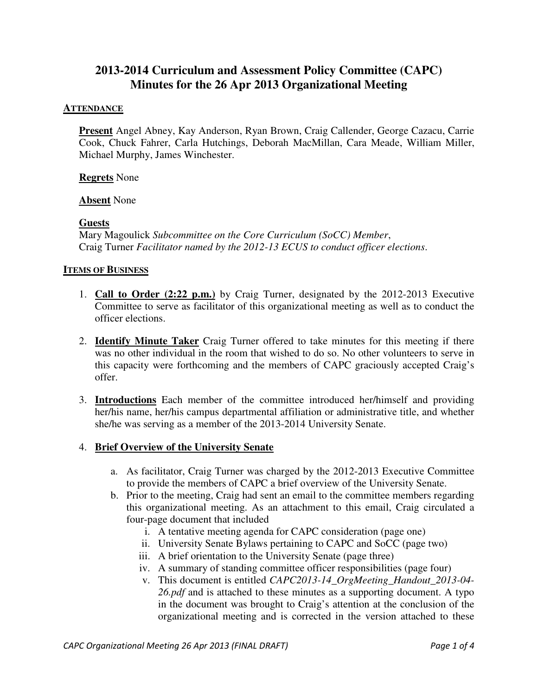# **2013-2014 Curriculum and Assessment Policy Committee (CAPC) Minutes for the 26 Apr 2013 Organizational Meeting**

#### **ATTENDANCE**

**Present** Angel Abney, Kay Anderson, Ryan Brown, Craig Callender, George Cazacu, Carrie Cook, Chuck Fahrer, Carla Hutchings, Deborah MacMillan, Cara Meade, William Miller, Michael Murphy, James Winchester.

#### **Regrets** None

#### **Absent** None

#### **Guests**

Mary Magoulick *Subcommittee on the Core Curriculum (SoCC) Member*, Craig Turner *Facilitator named by the 2012-13 ECUS to conduct officer elections*.

#### **ITEMS OF BUSINESS**

- 1. **Call to Order (2:22 p.m.)** by Craig Turner, designated by the 2012-2013 Executive Committee to serve as facilitator of this organizational meeting as well as to conduct the officer elections.
- 2. **Identify Minute Taker** Craig Turner offered to take minutes for this meeting if there was no other individual in the room that wished to do so. No other volunteers to serve in this capacity were forthcoming and the members of CAPC graciously accepted Craig's offer.
- 3. **Introductions** Each member of the committee introduced her/himself and providing her/his name, her/his campus departmental affiliation or administrative title, and whether she/he was serving as a member of the 2013-2014 University Senate.

#### 4. **Brief Overview of the University Senate**

- a. As facilitator, Craig Turner was charged by the 2012-2013 Executive Committee to provide the members of CAPC a brief overview of the University Senate.
- b. Prior to the meeting, Craig had sent an email to the committee members regarding this organizational meeting. As an attachment to this email, Craig circulated a four-page document that included
	- i. A tentative meeting agenda for CAPC consideration (page one)
	- ii. University Senate Bylaws pertaining to CAPC and SoCC (page two)
	- iii. A brief orientation to the University Senate (page three)
	- iv. A summary of standing committee officer responsibilities (page four)
	- v. This document is entitled *CAPC2013-14\_OrgMeeting\_Handout\_2013-04- 26.pdf* and is attached to these minutes as a supporting document. A typo in the document was brought to Craig's attention at the conclusion of the organizational meeting and is corrected in the version attached to these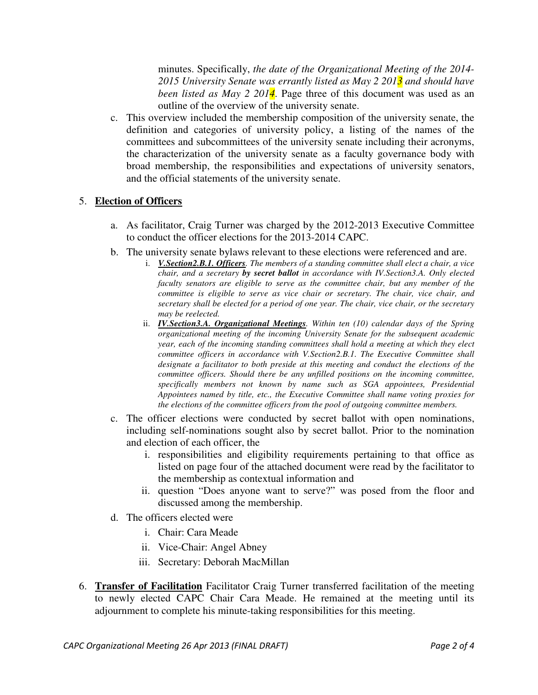minutes. Specifically, *the date of the Organizational Meeting of the 2014- 2015 University Senate was errantly listed as May 2 2013 and should have been listed as May 2 2014*. Page three of this document was used as an outline of the overview of the university senate.

c. This overview included the membership composition of the university senate, the definition and categories of university policy, a listing of the names of the committees and subcommittees of the university senate including their acronyms, the characterization of the university senate as a faculty governance body with broad membership, the responsibilities and expectations of university senators, and the official statements of the university senate.

### 5. **Election of Officers**

- a. As facilitator, Craig Turner was charged by the 2012-2013 Executive Committee to conduct the officer elections for the 2013-2014 CAPC.
- b. The university senate bylaws relevant to these elections were referenced and are.
	- i. *V.Section2.B.1. Officers. The members of a standing committee shall elect a chair, a vice chair, and a secretary by secret ballot in accordance with IV.Section3.A. Only elected faculty senators are eligible to serve as the committee chair, but any member of the committee is eligible to serve as vice chair or secretary. The chair, vice chair, and secretary shall be elected for a period of one year. The chair, vice chair, or the secretary may be reelected.*
	- ii. *IV.Section3.A. Organizational Meetings. Within ten (10) calendar days of the Spring organizational meeting of the incoming University Senate for the subsequent academic year, each of the incoming standing committees shall hold a meeting at which they elect committee officers in accordance with V.Section2.B.1. The Executive Committee shall designate a facilitator to both preside at this meeting and conduct the elections of the committee officers. Should there be any unfilled positions on the incoming committee, specifically members not known by name such as SGA appointees, Presidential Appointees named by title, etc., the Executive Committee shall name voting proxies for the elections of the committee officers from the pool of outgoing committee members.*
- c. The officer elections were conducted by secret ballot with open nominations, including self-nominations sought also by secret ballot. Prior to the nomination and election of each officer, the
	- i. responsibilities and eligibility requirements pertaining to that office as listed on page four of the attached document were read by the facilitator to the membership as contextual information and
	- ii. question "Does anyone want to serve?" was posed from the floor and discussed among the membership.
- d. The officers elected were
	- i. Chair: Cara Meade
	- ii. Vice-Chair: Angel Abney
	- iii. Secretary: Deborah MacMillan
- 6. **Transfer of Facilitation** Facilitator Craig Turner transferred facilitation of the meeting to newly elected CAPC Chair Cara Meade. He remained at the meeting until its adjournment to complete his minute-taking responsibilities for this meeting.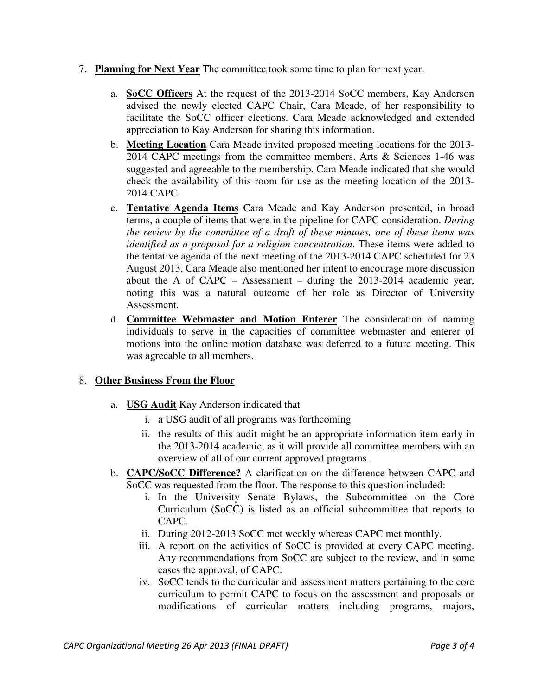- 7. **Planning for Next Year** The committee took some time to plan for next year.
	- a. **SoCC Officers** At the request of the 2013-2014 SoCC members, Kay Anderson advised the newly elected CAPC Chair, Cara Meade, of her responsibility to facilitate the SoCC officer elections. Cara Meade acknowledged and extended appreciation to Kay Anderson for sharing this information.
	- b. **Meeting Location** Cara Meade invited proposed meeting locations for the 2013- 2014 CAPC meetings from the committee members. Arts & Sciences 1-46 was suggested and agreeable to the membership. Cara Meade indicated that she would check the availability of this room for use as the meeting location of the 2013- 2014 CAPC.
	- c. **Tentative Agenda Items** Cara Meade and Kay Anderson presented, in broad terms, a couple of items that were in the pipeline for CAPC consideration. *During the review by the committee of a draft of these minutes, one of these items was identified as a proposal for a religion concentration*. These items were added to the tentative agenda of the next meeting of the 2013-2014 CAPC scheduled for 23 August 2013. Cara Meade also mentioned her intent to encourage more discussion about the A of CAPC – Assessment – during the 2013-2014 academic year, noting this was a natural outcome of her role as Director of University Assessment.
	- d. **Committee Webmaster and Motion Enterer** The consideration of naming individuals to serve in the capacities of committee webmaster and enterer of motions into the online motion database was deferred to a future meeting. This was agreeable to all members.

### 8. **Other Business From the Floor**

- a. **USG Audit** Kay Anderson indicated that
	- i. a USG audit of all programs was forthcoming
	- ii. the results of this audit might be an appropriate information item early in the 2013-2014 academic, as it will provide all committee members with an overview of all of our current approved programs.
- b. **CAPC/SoCC Difference?** A clarification on the difference between CAPC and SoCC was requested from the floor. The response to this question included:
	- i. In the University Senate Bylaws, the Subcommittee on the Core Curriculum (SoCC) is listed as an official subcommittee that reports to CAPC.
	- ii. During 2012-2013 SoCC met weekly whereas CAPC met monthly.
	- iii. A report on the activities of SoCC is provided at every CAPC meeting. Any recommendations from SoCC are subject to the review, and in some cases the approval, of CAPC.
	- iv. SoCC tends to the curricular and assessment matters pertaining to the core curriculum to permit CAPC to focus on the assessment and proposals or modifications of curricular matters including programs, majors,